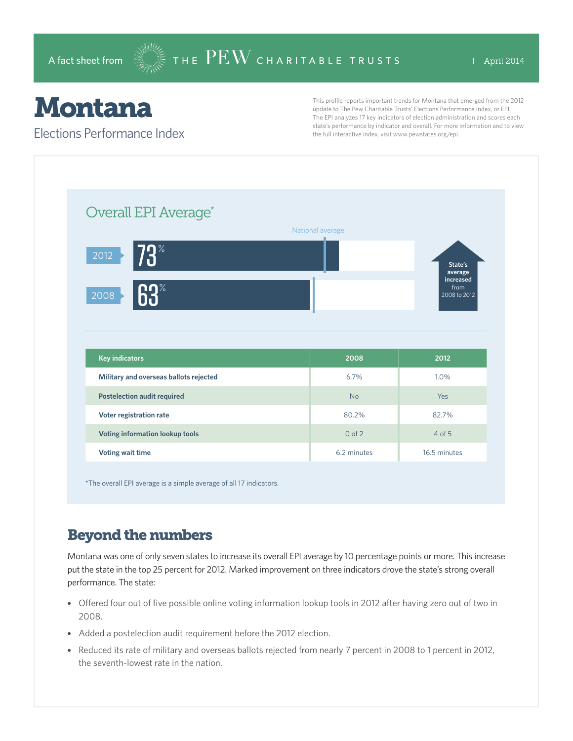# Montana

#### Elections Performance Index

This profile reports important trends for Montana that emerged from the 2012 update to The Pew Charitable Trusts' Elections Performance Index, or EPI. The EPI analyzes 17 key indicators of election administration and scores each state's performance by indicator and overall. For more information and to view the full interactive index, visit www.pewstates.org/epi.

| Overall EPI Average*                   |                  |                                   |
|----------------------------------------|------------------|-----------------------------------|
|                                        | National average |                                   |
| $73^\circ$<br>2012                     |                  | State's<br>average                |
| 63 <sup>°</sup><br>2008                |                  | increased<br>from<br>2008 to 2012 |
|                                        |                  |                                   |
|                                        |                  |                                   |
| <b>Key indicators</b>                  | 2008             | 2012                              |
| Military and overseas ballots rejected | 6.7%             | 1.0%                              |
| <b>Postelection audit required</b>     | <b>No</b>        | Yes                               |
| Voter registration rate                | 80.2%            | 82.7%                             |
| Voting information lookup tools        | $0$ of $2$       | $4$ of 5                          |

\*The overall EPI average is a simple average of all 17 indicators.

# Beyond the numbers

Montana was one of only seven states to increase its overall EPI average by 10 percentage points or more. This increase put the state in the top 25 percent for 2012. Marked improvement on three indicators drove the state's strong overall performance. The state:

- Offered four out of five possible online voting information lookup tools in 2012 after having zero out of two in 2008.
- Added a postelection audit requirement before the 2012 election.
- Reduced its rate of military and overseas ballots rejected from nearly 7 percent in 2008 to 1 percent in 2012, the seventh-lowest rate in the nation.